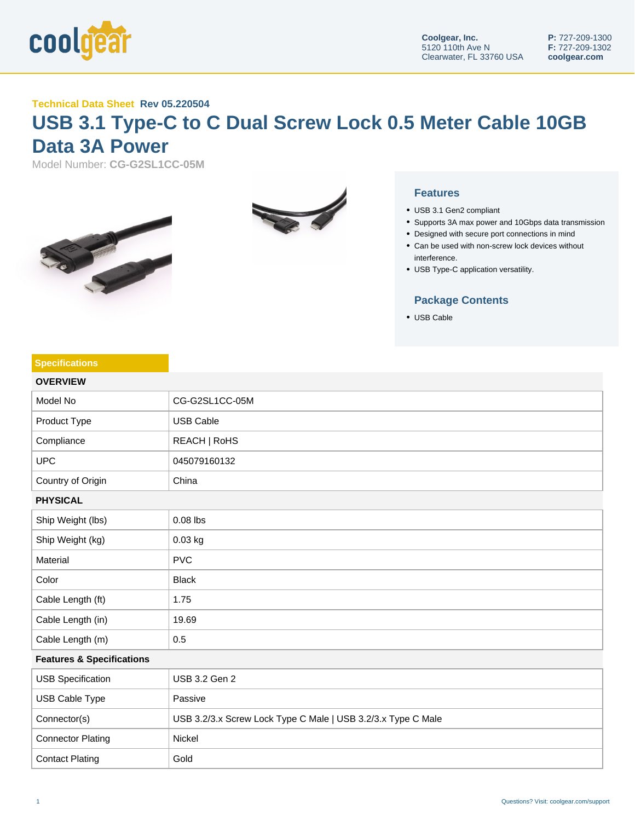

## **Technical Data Sheet Rev 05.220504**

## **USB 3.1 Type-C to C Dual Screw Lock 0.5 Meter Cable 10GB Data 3A Power**

Model Number: **CG-G2SL1CC-05M**





## **Features**

- USB 3.1 Gen2 compliant
- Supports 3A max power and 10Gbps data transmission
- Designed with secure port connections in mind
- Can be used with non-screw lock devices without interference.
- USB Type-C application versatility.

## **Package Contents**

USB Cable

| <b>Specifications</b>                |                                                              |  |
|--------------------------------------|--------------------------------------------------------------|--|
| <b>OVERVIEW</b>                      |                                                              |  |
| Model No                             | CG-G2SL1CC-05M                                               |  |
| Product Type                         | <b>USB Cable</b>                                             |  |
| Compliance                           | REACH   RoHS                                                 |  |
| <b>UPC</b>                           | 045079160132                                                 |  |
| Country of Origin                    | China                                                        |  |
| <b>PHYSICAL</b>                      |                                                              |  |
| Ship Weight (lbs)                    | $0.08$ lbs                                                   |  |
| Ship Weight (kg)                     | 0.03 kg                                                      |  |
| Material                             | <b>PVC</b>                                                   |  |
| Color                                | <b>Black</b>                                                 |  |
| Cable Length (ft)                    | 1.75                                                         |  |
| Cable Length (in)                    | 19.69                                                        |  |
| Cable Length (m)                     | 0.5                                                          |  |
| <b>Features &amp; Specifications</b> |                                                              |  |
| <b>USB Specification</b>             | USB 3.2 Gen 2                                                |  |
| USB Cable Type                       | Passive                                                      |  |
| Connector(s)                         | USB 3.2/3.x Screw Lock Type C Male   USB 3.2/3.x Type C Male |  |
| <b>Connector Plating</b>             | Nickel                                                       |  |
| <b>Contact Plating</b>               | Gold                                                         |  |